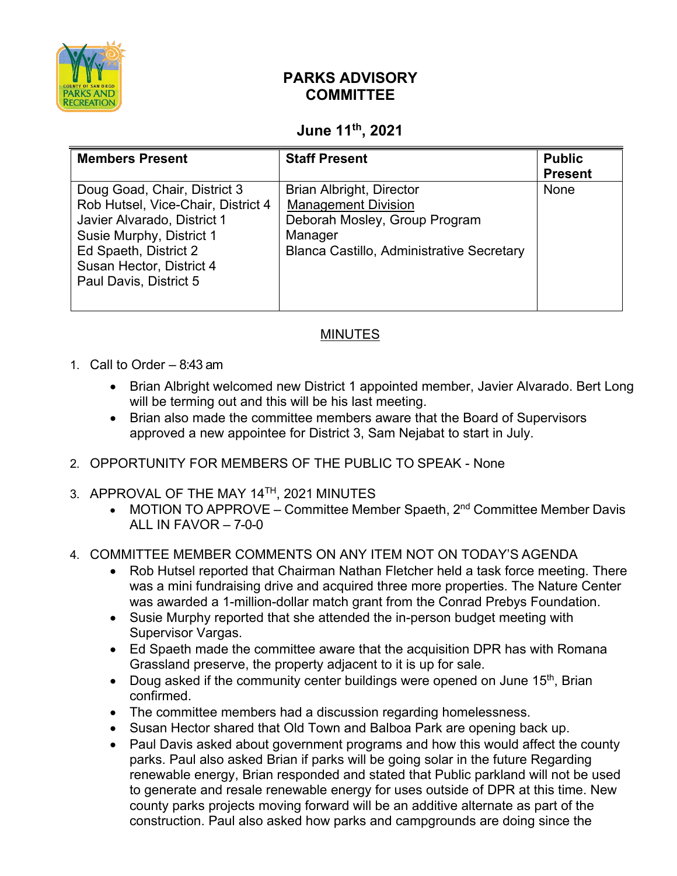

## **PARKS ADVISORY COMMITTEE**

## **June 11th, 2021**

| <b>Members Present</b>                                                                                                                                                                                       | <b>Staff Present</b>                                                                                                                                          | <b>Public</b><br><b>Present</b> |
|--------------------------------------------------------------------------------------------------------------------------------------------------------------------------------------------------------------|---------------------------------------------------------------------------------------------------------------------------------------------------------------|---------------------------------|
| Doug Goad, Chair, District 3<br>Rob Hutsel, Vice-Chair, District 4<br>Javier Alvarado, District 1<br>Susie Murphy, District 1<br>Ed Spaeth, District 2<br>Susan Hector, District 4<br>Paul Davis, District 5 | <b>Brian Albright, Director</b><br><b>Management Division</b><br>Deborah Mosley, Group Program<br>Manager<br><b>Blanca Castillo, Administrative Secretary</b> | None                            |

## MINUTES

- 1. Call to Order 8:43 am
	- Brian Albright welcomed new District 1 appointed member, Javier Alvarado. Bert Long will be terming out and this will be his last meeting.
	- Brian also made the committee members aware that the Board of Supervisors approved a new appointee for District 3, Sam Nejabat to start in July.
- 2. OPPORTUNITY FOR MEMBERS OF THE PUBLIC TO SPEAK None
- 3. APPROVAL OF THE MAY 14TH, 2021 MINUTES
	- MOTION TO APPROVE Committee Member Spaeth,  $2^{nd}$  Committee Member Davis ALL IN FAVOR – 7-0-0
- 4. COMMITTEE MEMBER COMMENTS ON ANY ITEM NOT ON TODAY'S AGENDA
	- Rob Hutsel reported that Chairman Nathan Fletcher held a task force meeting. There was a mini fundraising drive and acquired three more properties. The Nature Center was awarded a 1-million-dollar match grant from the Conrad Prebys Foundation.
	- Susie Murphy reported that she attended the in-person budget meeting with Supervisor Vargas.
	- Ed Spaeth made the committee aware that the acquisition DPR has with Romana Grassland preserve, the property adjacent to it is up for sale.
	- Doug asked if the community center buildings were opened on June  $15<sup>th</sup>$ , Brian confirmed.
	- The committee members had a discussion regarding homelessness.
	- Susan Hector shared that Old Town and Balboa Park are opening back up.
	- Paul Davis asked about government programs and how this would affect the county parks. Paul also asked Brian if parks will be going solar in the future Regarding renewable energy, Brian responded and stated that Public parkland will not be used to generate and resale renewable energy for uses outside of DPR at this time. New county parks projects moving forward will be an additive alternate as part of the construction. Paul also asked how parks and campgrounds are doing since the